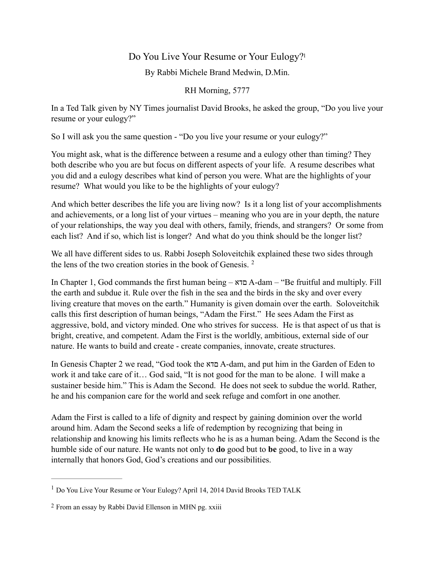## Do You Live Your Resume or Your Eulogy[?1](#page-0-0)

By Rabbi Michele Brand Medwin, D.Min.

<span id="page-0-3"></span><span id="page-0-2"></span>RH Morning, 5777

In a Ted Talk given by NY Times journalist David Brooks, he asked the group, "Do you live your resume or your eulogy?"

So I will ask you the same question - "Do you live your resume or your eulogy?"

You might ask, what is the difference between a resume and a eulogy other than timing? They both describe who you are but focus on different aspects of your life. A resume describes what you did and a eulogy describes what kind of person you were. What are the highlights of your resume? What would you like to be the highlights of your eulogy?

And which better describes the life you are living now? Is it a long list of your accomplishments and achievements, or a long list of your virtues – meaning who you are in your depth, the nature of your relationships, the way you deal with others, family, friends, and strangers? Or some from each list? And if so, which list is longer? And what do you think should be the longer list?

We all have different sides to us. Rabbi Joseph Soloveitchik explained these two sides through the lens of the two creation stories in the book of Genesis. [2](#page-0-1)

In Chapter 1, God commands the first human being – םדא A-dam – "Be fruitful and multiply. Fill the earth and subdue it. Rule over the fish in the sea and the birds in the sky and over every living creature that moves on the earth." Humanity is given domain over the earth. Soloveitchik calls this first description of human beings, "Adam the First." He sees Adam the First as aggressive, bold, and victory minded. One who strives for success. He is that aspect of us that is bright, creative, and competent. Adam the First is the worldly, ambitious, external side of our nature. He wants to build and create - create companies, innovate, create structures.

In Genesis Chapter 2 we read, "God took the םדא A-dam, and put him in the Garden of Eden to work it and take care of it… God said, "It is not good for the man to be alone. I will make a sustainer beside him." This is Adam the Second. He does not seek to subdue the world. Rather, he and his companion care for the world and seek refuge and comfort in one another.

Adam the First is called to a life of dignity and respect by gaining dominion over the world around him. Adam the Second seeks a life of redemption by recognizing that being in relationship and knowing his limits reflects who he is as a human being. Adam the Second is the humble side of our nature. He wants not only to **do** good but to **be** good, to live in a way internally that honors God, God's creations and our possibilities.

<span id="page-0-0"></span><sup>&</sup>lt;sup>[1](#page-0-2)</sup> Do You Live Your Resume or Your Eulogy? April 14, 2014 David Brooks TED TALK

<span id="page-0-1"></span><sup>&</sup>lt;sup>[2](#page-0-3)</sup> From an essay by Rabbi David Ellenson in MHN pg. xxiii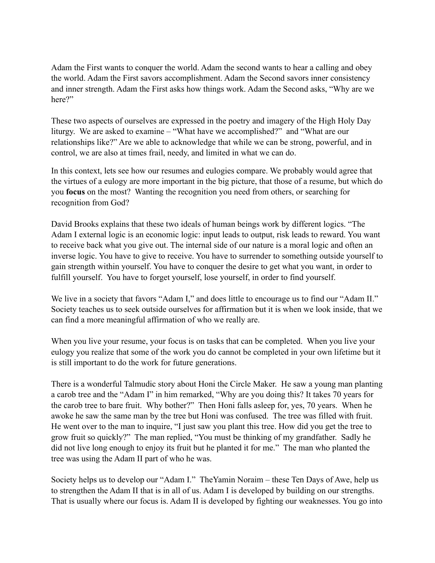Adam the First wants to conquer the world. Adam the second wants to hear a calling and obey the world. Adam the First savors accomplishment. Adam the Second savors inner consistency and inner strength. Adam the First asks how things work. Adam the Second asks, "Why are we here?"

These two aspects of ourselves are expressed in the poetry and imagery of the High Holy Day liturgy. We are asked to examine – "What have we accomplished?" and "What are our relationships like?" Are we able to acknowledge that while we can be strong, powerful, and in control, we are also at times frail, needy, and limited in what we can do.

In this context, lets see how our resumes and eulogies compare. We probably would agree that the virtues of a eulogy are more important in the big picture, that those of a resume, but which do you **focus** on the most? Wanting the recognition you need from others, or searching for recognition from God?

David Brooks explains that these two ideals of human beings work by different logics. "The Adam I external logic is an economic logic: input leads to output, risk leads to reward. You want to receive back what you give out. The internal side of our nature is a moral logic and often an inverse logic. You have to give to receive. You have to surrender to something outside yourself to gain strength within yourself. You have to conquer the desire to get what you want, in order to fulfill yourself. You have to forget yourself, lose yourself, in order to find yourself.

We live in a society that favors "Adam I," and does little to encourage us to find our "Adam II." Society teaches us to seek outside ourselves for affirmation but it is when we look inside, that we can find a more meaningful affirmation of who we really are.

When you live your resume, your focus is on tasks that can be completed. When you live your eulogy you realize that some of the work you do cannot be completed in your own lifetime but it is still important to do the work for future generations.

There is a wonderful Talmudic story about Honi the Circle Maker. He saw a young man planting a carob tree and the "Adam I" in him remarked, "Why are you doing this? It takes 70 years for the carob tree to bare fruit. Why bother?" Then Honi falls asleep for, yes, 70 years. When he awoke he saw the same man by the tree but Honi was confused. The tree was filled with fruit. He went over to the man to inquire, "I just saw you plant this tree. How did you get the tree to grow fruit so quickly?" The man replied, "You must be thinking of my grandfather. Sadly he did not live long enough to enjoy its fruit but he planted it for me." The man who planted the tree was using the Adam II part of who he was.

Society helps us to develop our "Adam I." TheYamin Noraim – these Ten Days of Awe, help us to strengthen the Adam II that is in all of us. Adam I is developed by building on our strengths. That is usually where our focus is. Adam II is developed by fighting our weaknesses. You go into